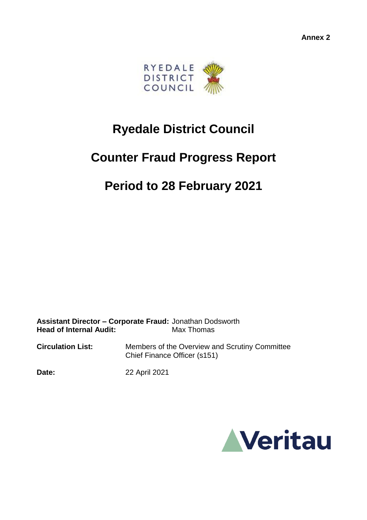

# **Ryedale District Council**

## **Counter Fraud Progress Report**

### **Period to 28 February 2021**

**Assistant Director – Corporate Fraud:** Jonathan Dodsworth **Head of Internal Audit:** Max Thomas

**Circulation List:** Members of the Overview and Scrutiny Committee Chief Finance Officer (s151)

**Date:** 22 April 2021

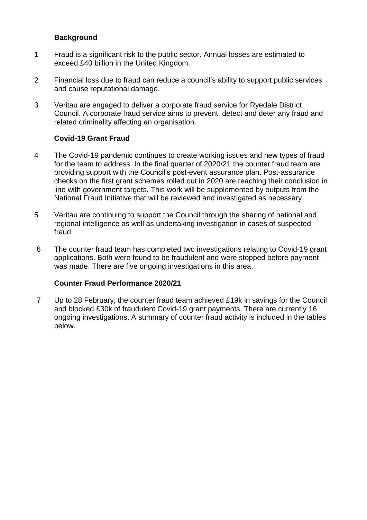#### **Background**

- 1 Fraud is a significant risk to the public sector. Annual losses are estimated to exceed £40 billion in the United Kingdom.
- 2 Financial loss due to fraud can reduce a council's ability to support public services and cause reputational damage.
- 3 Veritau are engaged to deliver a corporate fraud service for Ryedale District Council. A corporate fraud service aims to prevent, detect and deter any fraud and related criminality affecting an organisation.

#### **Covid-19 Grant Fraud**

- 4 The Covid-19 pandemic continues to create working issues and new types of fraud for the team to address. In the final quarter of 2020/21 the counter fraud team are providing support with the Council's post-event assurance plan. Post-assurance checks on the first grant schemes rolled out in 2020 are reaching their conclusion in line with government targets. This work will be supplemented by outputs from the National Fraud Initiative that will be reviewed and investigated as necessary.
- 5 Veritau are continuing to support the Council through the sharing of national and regional intelligence as well as undertaking investigation in cases of suspected fraud.
- 6 The counter fraud team has completed two investigations relating to Covid-19 grant applications. Both were found to be fraudulent and were stopped before payment was made. There are five ongoing investigations in this area.

#### **Counter Fraud Performance 2020/21**

7 Up to 28 February, the counter fraud team achieved £19k in savings for the Council and blocked £30k of fraudulent Covid-19 grant payments. There are currently 16 ongoing investigations. A summary of counter fraud activity is included in the tables below.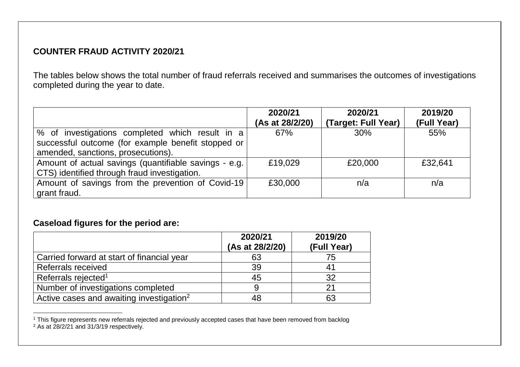### **COUNTER FRAUD ACTIVITY 2020/21**

The tables below shows the total number of fraud referrals received and summarises the outcomes of investigations completed during the year to date.

|                                                                                                                                             | 2020/21<br>(As at 28/2/20) | 2020/21<br>(Target: Full Year) | 2019/20<br>(Full Year) |
|---------------------------------------------------------------------------------------------------------------------------------------------|----------------------------|--------------------------------|------------------------|
| % of investigations completed which result in a<br>successful outcome (for example benefit stopped or<br>amended, sanctions, prosecutions). | 67%                        | 30%                            | 55%                    |
| Amount of actual savings (quantifiable savings - e.g.)<br>CTS) identified through fraud investigation.                                      | £19,029                    | £20,000                        | £32,641                |
| Amount of savings from the prevention of Covid-19<br>grant fraud.                                                                           | £30,000                    | n/a                            | n/a                    |

#### **Caseload figures for the period are:**

|                                                      | 2020/21<br>(As at 28/2/20) | 2019/20<br>(Full Year) |
|------------------------------------------------------|----------------------------|------------------------|
| Carried forward at start of financial year           | 63                         | 75                     |
| <b>Referrals received</b>                            | 39                         | 41                     |
| Referrals rejected <sup>1</sup>                      | 45                         | 32                     |
| Number of investigations completed                   |                            |                        |
| Active cases and awaiting investigation <sup>2</sup> | 48                         | 63                     |

 <sup>1</sup> This figure represents new referrals rejected and previously accepted cases that have been removed from backlog <sup>2</sup> As at 28/2/21 and 31/3/19 respectively.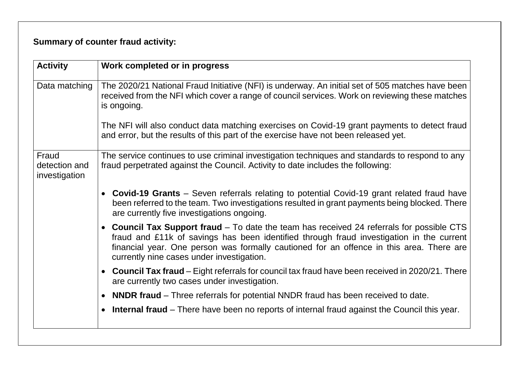### **Summary of counter fraud activity:**

| Work completed or in progress                                                                                                                                                                                                                                                                                                  |
|--------------------------------------------------------------------------------------------------------------------------------------------------------------------------------------------------------------------------------------------------------------------------------------------------------------------------------|
| The 2020/21 National Fraud Initiative (NFI) is underway. An initial set of 505 matches have been<br>received from the NFI which cover a range of council services. Work on reviewing these matches<br>is ongoing.                                                                                                              |
| The NFI will also conduct data matching exercises on Covid-19 grant payments to detect fraud<br>and error, but the results of this part of the exercise have not been released yet.                                                                                                                                            |
| The service continues to use criminal investigation techniques and standards to respond to any<br>fraud perpetrated against the Council. Activity to date includes the following:                                                                                                                                              |
| • Covid-19 Grants – Seven referrals relating to potential Covid-19 grant related fraud have<br>been referred to the team. Two investigations resulted in grant payments being blocked. There<br>are currently five investigations ongoing.                                                                                     |
| • Council Tax Support fraud – To date the team has received 24 referrals for possible CTS<br>fraud and £11k of savings has been identified through fraud investigation in the current<br>financial year. One person was formally cautioned for an offence in this area. There are<br>currently nine cases under investigation. |
| • Council Tax fraud – Eight referrals for council tax fraud have been received in 2020/21. There<br>are currently two cases under investigation.                                                                                                                                                                               |
| <b>NNDR fraud</b> – Three referrals for potential NNDR fraud has been received to date.<br>$\bullet$                                                                                                                                                                                                                           |
| • Internal fraud – There have been no reports of internal fraud against the Council this year.                                                                                                                                                                                                                                 |
|                                                                                                                                                                                                                                                                                                                                |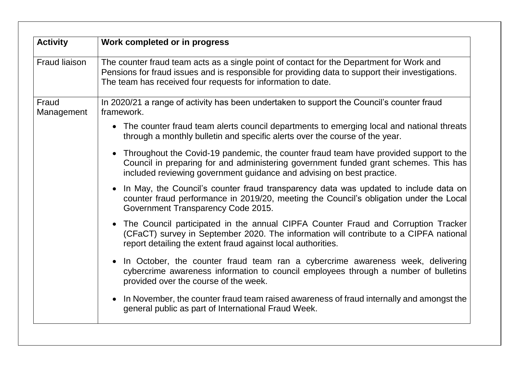| <b>Activity</b>      | Work completed or in progress                                                                                                                                                                                                                                |
|----------------------|--------------------------------------------------------------------------------------------------------------------------------------------------------------------------------------------------------------------------------------------------------------|
| <b>Fraud liaison</b> | The counter fraud team acts as a single point of contact for the Department for Work and<br>Pensions for fraud issues and is responsible for providing data to support their investigations.<br>The team has received four requests for information to date. |
| Fraud<br>Management  | In 2020/21 a range of activity has been undertaken to support the Council's counter fraud<br>framework.                                                                                                                                                      |
|                      | • The counter fraud team alerts council departments to emerging local and national threats<br>through a monthly bulletin and specific alerts over the course of the year.                                                                                    |
|                      | • Throughout the Covid-19 pandemic, the counter fraud team have provided support to the<br>Council in preparing for and administering government funded grant schemes. This has<br>included reviewing government guidance and advising on best practice.     |
|                      | In May, the Council's counter fraud transparency data was updated to include data on<br>counter fraud performance in 2019/20, meeting the Council's obligation under the Local<br>Government Transparency Code 2015.                                         |
|                      | The Council participated in the annual CIPFA Counter Fraud and Corruption Tracker<br>(CFaCT) survey in September 2020. The information will contribute to a CIPFA national<br>report detailing the extent fraud against local authorities.                   |
|                      | In October, the counter fraud team ran a cybercrime awareness week, delivering<br>cybercrime awareness information to council employees through a number of bulletins<br>provided over the course of the week.                                               |
|                      | In November, the counter fraud team raised awareness of fraud internally and amongst the<br>general public as part of International Fraud Week.                                                                                                              |